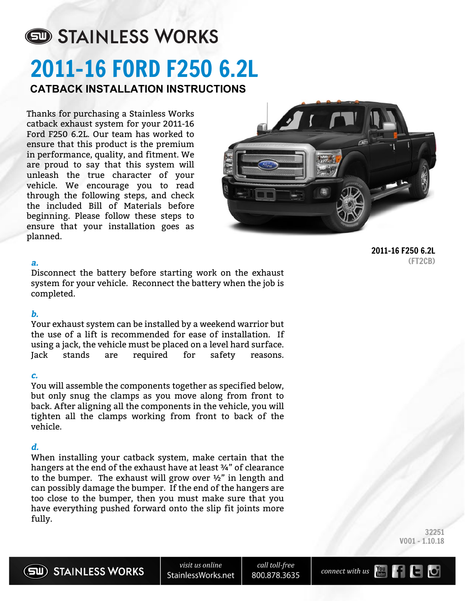# STAINLESS WORKS 2011-16 FORD F250 6.2L **CATBACK INSTALLATION INSTRUCTIONS**

Thanks for purchasing a Stainless Works catback exhaust system for your 2011-16 Ford F250 6.2L. Our team has worked to ensure that this product is the premium in performance, quality, and fitment. We are proud to say that this system will unleash the true character of your vehicle. We encourage you to read through the following steps, and check the included Bill of Materials before beginning. Please follow these steps to ensure that your installation goes as planned.



2011-16 F250 6.2L (FT2CB)

#### **a.**

Disconnect the battery before starting work on the exhaust system for your vehicle. Reconnect the battery when the job is completed.

#### **b.**

Your exhaust system can be installed by a weekend warrior but the use of a lift is recommended for ease of installation. If using a jack, the vehicle must be placed on a level hard surface. Jack stands are required for safety reasons.

#### **c.**

You will assemble the components together as specified below, but only snug the clamps as you move along from front to back. After aligning all the components in the vehicle, you will tighten all the clamps working from front to back of the vehicle.

#### **d.**

When installing your catback system, make certain that the hangers at the end of the exhaust have at least 34" of clearance to the bumper. The exhaust will grow over ½" in length and can possibly damage the bumper. If the end of the hangers are too close to the bumper, then you must make sure that you have everything pushed forward onto the slip fit joints more fully.

> 32251 V001 - 1.10.18





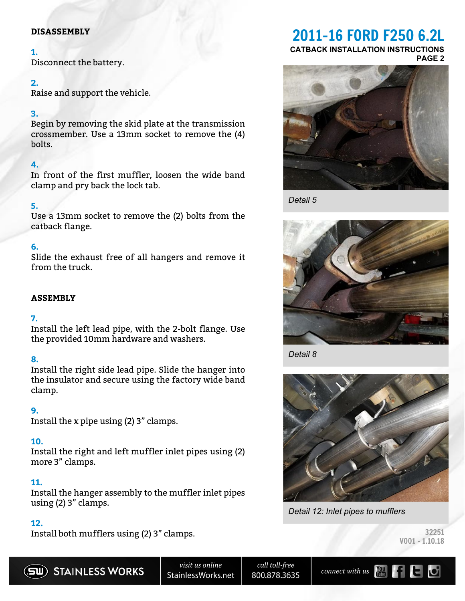#### **DISASSEMBLY**

#### **1.**

Disconnect the battery.

#### **2.**

Raise and support the vehicle.

#### **3.**

Begin by removing the skid plate at the transmission crossmember. Use a 13mm socket to remove the (4) bolts.

#### **4.**

In front of the first muffler, loosen the wide band clamp and pry back the lock tab.

#### **5.**

Use a 13mm socket to remove the (2) bolts from the catback flange.

#### **6.**

Slide the exhaust free of all hangers and remove it from the truck.

#### **ASSEMBLY**

#### **7.**

Install the left lead pipe, with the 2-bolt flange. Use the provided 10mm hardware and washers.

#### **8.**

Install the right side lead pipe. Slide the hanger into the insulator and secure using the factory wide band clamp.

#### **9.**

Install the x pipe using (2) 3" clamps.

#### **10.**

Install the right and left muffler inlet pipes using (2) more 3" clamps.

#### **11.**

Install the hanger assembly to the muffler inlet pipes using (2) 3" clamps.

#### **12.**

Install both mufflers using (2) 3" clamps.

### 2011-16 FORD F250 6.2L

### **CATBACK INSTALLATION INSTRUCTIONS**





*Detail 5*



*Detail 8*



*Detail 12: Inlet pipes to mufflers*

32251 V001 - 1.10.18



visit us online StainlessWorks.net

call toll-free 800.878.3635